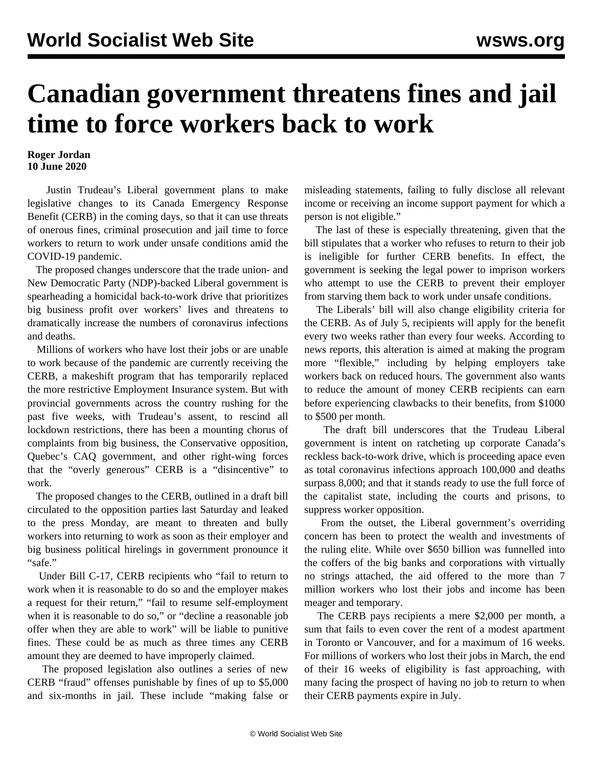## **Canadian government threatens fines and jail time to force workers back to work**

## **Roger Jordan 10 June 2020**

 Justin Trudeau's Liberal government plans to make legislative changes to its Canada Emergency Response Benefit (CERB) in the coming days, so that it can use threats of onerous fines, criminal prosecution and jail time to force workers to return to work under unsafe conditions amid the COVID-19 pandemic.

 The proposed changes underscore that the trade union- and New Democratic Party (NDP)-backed Liberal government is spearheading a homicidal back-to-work drive that prioritizes big business profit over workers' lives and threatens to dramatically increase the numbers of coronavirus infections and deaths.

 Millions of workers who have lost their jobs or are unable to work because of the pandemic are currently receiving the CERB, a makeshift program that has temporarily replaced the more restrictive Employment Insurance system. But with provincial governments across the country rushing for the past five weeks, with Trudeau's assent, to rescind all lockdown restrictions, there has been a mounting chorus of complaints from big business, the Conservative opposition, Quebec's CAQ government, and other right-wing forces that the "overly generous" CERB is a "disincentive" to work.

 The proposed changes to the CERB, outlined in a draft bill circulated to the opposition parties last Saturday and leaked to the press Monday, are meant to threaten and bully workers into returning to work as soon as their employer and big business political hirelings in government pronounce it "safe."

 Under Bill C-17, CERB recipients who "fail to return to work when it is reasonable to do so and the employer makes a request for their return," "fail to resume self-employment when it is reasonable to do so," or "decline a reasonable job offer when they are able to work" will be liable to punitive fines. These could be as much as three times any CERB amount they are deemed to have improperly claimed.

 The proposed legislation also outlines a series of new CERB "fraud" offenses punishable by fines of up to \$5,000 and six-months in jail. These include "making false or misleading statements, failing to fully disclose all relevant income or receiving an income support payment for which a person is not eligible."

 The last of these is especially threatening, given that the bill stipulates that a worker who refuses to return to their job is ineligible for further CERB benefits. In effect, the government is seeking the legal power to imprison workers who attempt to use the CERB to prevent their employer from starving them back to work under unsafe conditions.

 The Liberals' bill will also change eligibility criteria for the CERB. As of July 5, recipients will apply for the benefit every two weeks rather than every four weeks. According to news reports, this alteration is aimed at making the program more "flexible," including by helping employers take workers back on reduced hours. The government also wants to reduce the amount of money CERB recipients can earn before experiencing clawbacks to their benefits, from \$1000 to \$500 per month.

 The draft bill underscores that the Trudeau Liberal government is intent on ratcheting up corporate Canada's reckless back-to-work drive, which is proceeding apace even as total coronavirus infections approach 100,000 and deaths surpass 8,000; and that it stands ready to use the full force of the capitalist state, including the courts and prisons, to suppress worker opposition.

 From the outset, the Liberal government's overriding concern has been to protect the wealth and investments of the ruling elite. While over \$650 billion was funnelled into the coffers of the big banks and corporations with virtually no strings attached, the aid offered to the more than 7 million workers who lost their jobs and income has been meager and temporary.

 The CERB pays recipients a mere \$2,000 per month, a sum that fails to even cover the rent of a modest apartment in Toronto or Vancouver, and for a maximum of 16 weeks. For millions of workers who lost their jobs in March, the end of their 16 weeks of eligibility is fast approaching, with many facing the prospect of having no job to return to when their CERB payments expire in July.